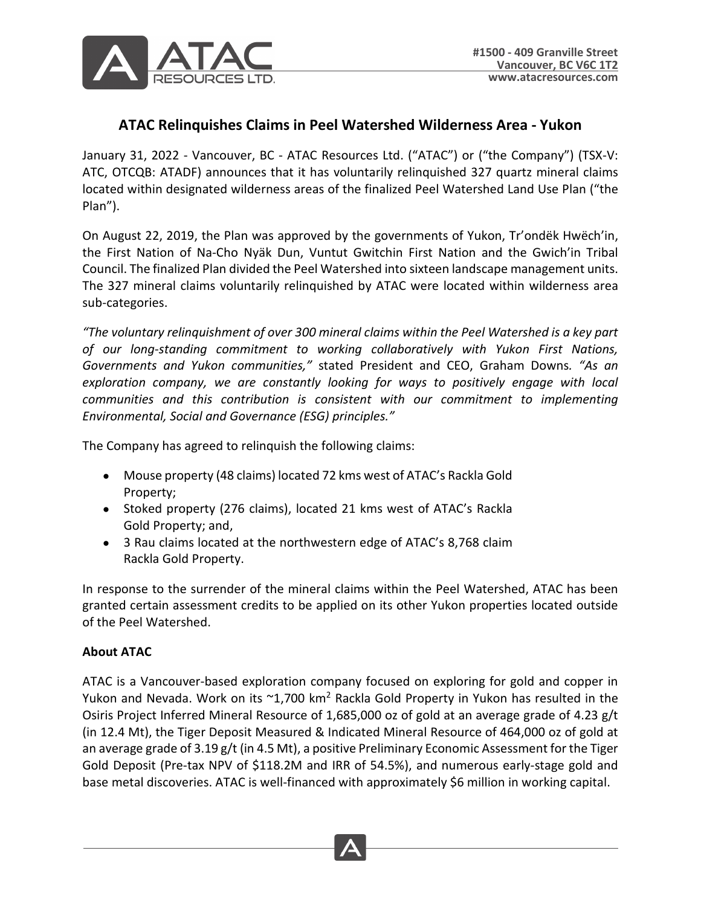

## **ATAC Relinquishes Claims in Peel Watershed Wilderness Area - Yukon**

January 31, 2022 - Vancouver, BC - ATAC Resources Ltd. ("ATAC") or ("the Company") (TSX-V: ATC, OTCQB: ATADF) announces that it has voluntarily relinquished 327 quartz mineral claims located within designated wilderness areas of the finalized Peel Watershed Land Use Plan ("the Plan").

On August 22, 2019, the Plan was approved by the governments of Yukon, Tr'ondëk Hwëch'in, the First Nation of Na-Cho Nyäk Dun, Vuntut Gwitchin First Nation and the Gwich'in Tribal Council. The finalized Plan divided the Peel Watershed into sixteen landscape management units. The 327 mineral claims voluntarily relinquished by ATAC were located within wilderness area sub-categories.

*"The voluntary relinquishment of over 300 mineral claims within the Peel Watershed is a key part of our long-standing commitment to working collaboratively with Yukon First Nations, Governments and Yukon communities,"* stated President and CEO, Graham Downs*. "As an exploration company, we are constantly looking for ways to positively engage with local communities and this contribution is consistent with our commitment to implementing Environmental, Social and Governance (ESG) principles."* 

The Company has agreed to relinquish the following claims:

- Mouse property (48 claims) located 72 kms west of ATAC's Rackla Gold Property;
- Stoked property (276 claims), located 21 kms west of ATAC's Rackla Gold Property; and,
- 3 Rau claims located at the northwestern edge of ATAC's 8,768 claim Rackla Gold Property.

In response to the surrender of the mineral claims within the Peel Watershed, ATAC has been granted certain assessment credits to be applied on its other Yukon properties located outside of the Peel Watershed.

## **About ATAC**

ATAC is a Vancouver-based exploration company focused on exploring for gold and copper in Yukon and Nevada. Work on its  $\sim 1,700$  km<sup>2</sup> Rackla Gold Property in Yukon has resulted in the Osiris Project Inferred Mineral Resource of 1,685,000 oz of gold at an average grade of 4.23 g/t (in 12.4 Mt), the Tiger Deposit Measured & Indicated Mineral Resource of 464,000 oz of gold at an average grade of 3.19 g/t (in 4.5 Mt), a positive Preliminary Economic Assessment for the Tiger Gold Deposit (Pre-tax NPV of \$118.2M and IRR of 54.5%), and numerous early-stage gold and base metal discoveries. ATAC is well-financed with approximately \$6 million in working capital.